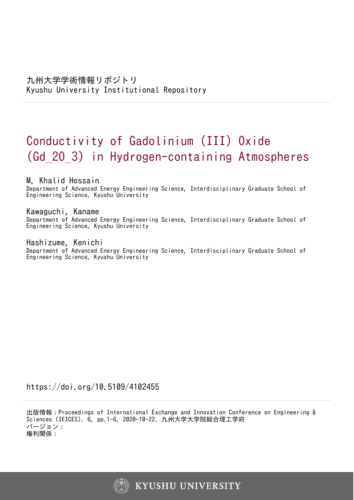# Conductivity of Gadolinium (III) Oxide (Gd\_2O\_3) in Hydrogen-containing Atmospheres

# M. Khalid Hossain

Department of Advanced Energy Engineering Science, Interdisciplinary Graduate School of Engineering Science, Kyushu University

# Kawaguchi, Kaname

Department of Advanced Energy Engineering Science, Interdisciplinary Graduate School of Engineering Science, Kyushu University

# Hashizume, Kenichi

Department of Advanced Energy Engineering Science, Interdisciplinary Graduate School of Engineering Science, Kyushu University

https://doi.org/10.5109/4102455

出版情報:Proceedings of International Exchange and Innovation Conference on Engineering & Sciences (IEICES). 6, pp.1-6, 2020-10-22. 九州大学大学院総合理工学府 バージョン: 権利関係:

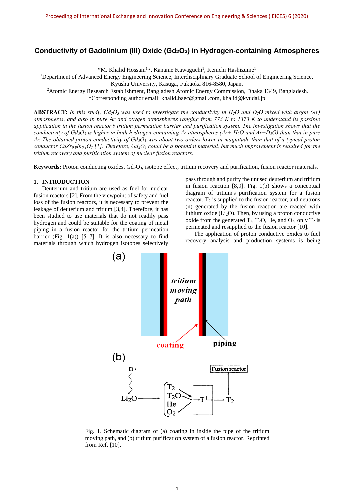# **Conductivity of Gadolinium (III) Oxide (Gd2O3) in Hydrogen-containing Atmospheres**

\*M. Khalid Hossain<sup>1,2</sup>, Kaname Kawaguchi<sup>1</sup>, Kenichi Hashizume<sup>1</sup>

<sup>1</sup>Department of Advanced Energy Engineering Science, Interdisciplinary Graduate School of Engineering Science,

Kyushu University, Kasuga, Fukuoka 816-8580, Japan,

<sup>2</sup>Atomic Energy Research Establishment, Bangladesh Atomic Energy Commission, Dhaka 1349, Bangladesh.

\*Corresponding author email: khalid.baec@gmail.com, khalid@kyudai.jp

**ABSTRACT:** In this study,  $Gd_2O_3$  was used to investigate the conductivity in  $H_2O$  and  $D_2O$  mixed with argon (Ar) *atmospheres, and also in pure Ar and oxygen atmospheres ranging from 773 K to 1373 K to understand its possible application in the fusion reactor's tritium permeation barrier and purification system. The investigation shows that the conductivity of Gd2O<sup>3</sup> is higher in both hydrogen-containing Ar atmospheres (Ar+ H2O and Ar+D2O) than that in pure Ar. The obtained proton conductivity of Gd2O<sup>3</sup> was about two orders lower in magnitude than that of a typical proton conductor CaZr0.9In0.1O<sup>3</sup> [1]. Therefore, Gd2O<sup>3</sup> could be a potential material, but much improvement is required for the tritium recovery and purification system of nuclear fusion reactors.*

**Keywords:** Proton conducting oxides, Gd<sub>2</sub>O<sub>3</sub>, isotope effect, tritium recovery and purification, fusion reactor materials.

#### **1. INTRODUCTION**

Deuterium and tritium are used as fuel for nuclear fusion reactors [2]. From the viewpoint of safety and fuel loss of the fusion reactors, it is necessary to prevent the leakage of deuterium and tritium [3,4]. Therefore, it has been studied to use materials that do not readily pass hydrogen and could be suitable for the coating of metal piping in a fusion reactor for the tritium permeation barrier (Fig. 1(a))  $[5-7]$ . It is also necessary to find materials through which hydrogen isotopes selectively pass through and purify the unused deuterium and tritium in fusion reaction [8,9]. Fig. 1(b) shows a conceptual diagram of tritium's purification system for a fusion reactor.  $T_2$  is supplied to the fusion reactor, and neutrons (n) generated by the fusion reaction are reacted with lithium oxide  $(Li<sub>2</sub>O)$ . Then, by using a proton conductive oxide from the generated  $T_2$ ,  $T_2O$ , He, and  $O_2$ , only  $T_2$  is permeated and resupplied to the fusion reactor [10].

The application of proton conductive oxides to fuel recovery analysis and production systems is being



Fig. 1. Schematic diagram of (a) coating in inside the pipe of the tritium moving path, and (b) tritium purification system of a fusion reactor. Reprinted from Ref. [10].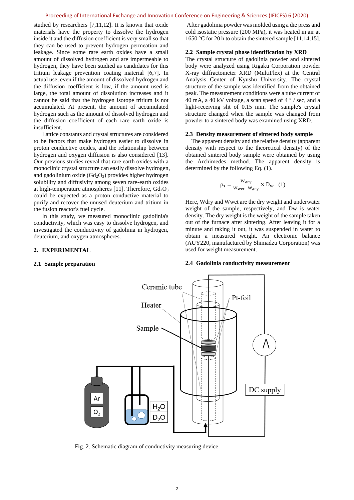#### Proceeding of International Exchange and Innovation Conference on Engineering & Sciences (IEICES) 6 (2020)

studied by researchers [7,11,12]. It is known that oxide materials have the property to dissolve the hydrogen inside it and the diffusion coefficient is very small so that they can be used to prevent hydrogen permeation and leakage. Since some rare earth oxides have a small amount of dissolved hydrogen and are impermeable to hydrogen, they have been studied as candidates for this tritium leakage prevention coating material [6,7]. In actual use, even if the amount of dissolved hydrogen and the diffusion coefficient is low, if the amount used is large, the total amount of dissolution increases and it cannot be said that the hydrogen isotope tritium is not accumulated. At present, the amount of accumulated hydrogen such as the amount of dissolved hydrogen and the diffusion coefficient of each rare earth oxide is insufficient.

Lattice constants and crystal structures are considered to be factors that make hydrogen easier to dissolve in proton conductive oxides, and the relationship between hydrogen and oxygen diffusion is also considered [13]. Our previous studies reveal that rare earth oxides with a monoclinic crystal structure can easily dissolve hydrogen, and gadolinium oxide  $(Gd<sub>2</sub>O<sub>3</sub>)$  provides higher hydrogen solubility and diffusivity among seven rare-earth oxides at high-temperature atmospheres [11]. Therefore,  $Gd_2O_3$ could be expected as a proton conductive material to purify and recover the unused deuterium and tritium in the fusion reactor's fuel cycle.

In this study, we measured monoclinic gadolinia's conductivity, which was easy to dissolve hydrogen, and investigated the conductivity of gadolinia in hydrogen, deuterium, and oxygen atmospheres.

# **2. EXPERIMENTAL**

#### **2.1 Sample preparation**

After gadolinia powder was molded using a die press and cold isostatic pressure (200 MPa), it was heated in air at 1650 °C for 20 h to obtain the sintered sample [11,14,15].

#### **2.2 Sample crystal phase identification by XRD**

The crystal structure of gadolinia powder and sintered body were analyzed using Rigaku Corporation powder X-ray diffractometer XRD (MultiFlex) at the Central Analysis Center of Kyushu University. The crystal structure of the sample was identified from the obtained peak. The measurement conditions were a tube current of 40 mA, a 40 kV voltage, a scan speed of 4 ° / sec, and a light-receiving slit of 0.15 mm. The sample's crystal structure changed when the sample was changed from powder to a sintered body was examined using XRD.

#### **2.3 Density measurement of sintered body sample**

The apparent density and the relative density (apparent density with respect to the theoretical density) of the obtained sintered body sample were obtained by using the Archimedes method. The apparent density is determined by the following Eq. (1).

$$
\rho_s = \frac{W_{\text{dry}}}{W_{\text{wet}} - W_{\text{dry}}} \times D_{\text{w}} \quad (1)
$$

Here, Wdry and Wwet are the dry weight and underwater weight of the sample, respectively, and Dw is water density. The dry weight is the weight of the sample taken out of the furnace after sintering. After leaving it for a minute and taking it out, it was suspended in water to obtain a measured weight. An electronic balance (AUY220, manufactured by Shimadzu Corporation) was used for weight measurement.

## **2.4 Gadolinia conductivity measurement**



Fig. 2. Schematic diagram of conductivity measuring device.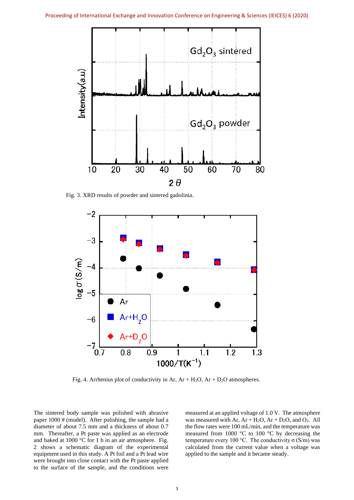

Fig. 3. XRD results of powder and sintered gadolinia.



Fig. 4. Arrhenius plot of conductivity in Ar,  $Ar + H<sub>2</sub>O$ ,  $Ar + D<sub>2</sub>O$  atmospheres.

The sintered body sample was polished with abrasive paper 1000 # (model). After polishing, the sample had a diameter of about 7.5 mm and a thickness of about 0.7 mm. Thereafter, a Pt paste was applied as an electrode and baked at 1000 °C for 1 h in an air atmosphere. Fig. 2 shows a schematic diagram of the experimental equipment used in this study. A Pt foil and a Pt lead wire were brought into close contact with the Pt paste applied to the surface of the sample, and the conditions were measured at an applied voltage of 1.0 V. The atmosphere was measured with Ar,  $Ar + H<sub>2</sub>O$ ,  $Ar + D<sub>2</sub>O$ , and  $O<sub>2</sub>$ . All the flow rates were 100 mL/min, and the temperature was measured from 1000 °C to 100 °C by decreasing the temperature every 100 °C. The conductivity σ (S/m) was calculated from the current value when a voltage was applied to the sample and it became steady.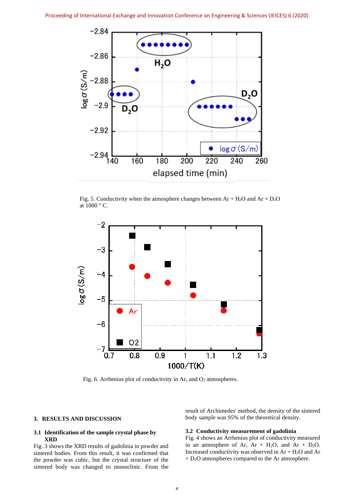

Fig. 5. Conductivity when the atmosphere changes between  $Ar + H_2O$  and  $Ar + D_2O$ at 1000 ° C.



Fig. 6. Arrhenius plot of conductivity in Ar, and  $O<sub>2</sub>$  atmospheres.

## **3. RESULTS AND DISCUSSION**

# **3.1 Identification of the sample crystal phase by XRD**

Fig. 3 shows the XRD results of gadolinia in powder and sintered bodies. From this result, it was confirmed that the powder was cubic, but the crystal structure of the sintered body was changed to monoclinic. From the

result of Archimedes' method, the density of the sintered body sample was 95% of the theoretical density.

## **3.2 Conductivity measurement of gadolinia**

Fig. 4 shows an Arrhenius plot of conductivity measured in an atmosphere of Ar,  $Ar + H<sub>2</sub>O$ , and  $Ar + D<sub>2</sub>O$ . Increased conductivity was observed in  $Ar + H<sub>2</sub>O$  and Ar + D2O atmospheres compared to the Ar atmosphere.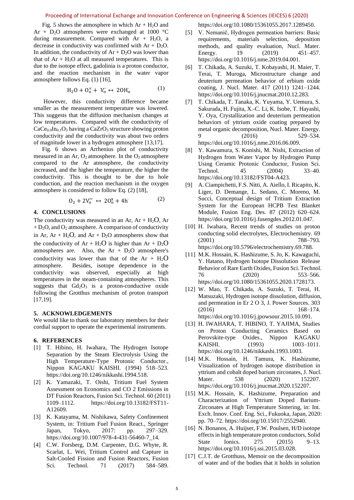#### Proceeding of International Exchange and Innovation Conference on Engineering & Sciences (IEICES) 6 (2020)

Fig. 5 shows the atmosphere in which  $Ar + H<sub>2</sub>O$  and Ar +  $D_2O$  atmospheres were exchanged at 1000 °C during measurement. Compared with  $Ar + H<sub>2</sub>O$ , a decrease in conductivity was confirmed with  $Ar + D<sub>2</sub>O$ . In addition, the conductivity of  $Ar + D<sub>2</sub>O$  was lower than that of  $Ar + H<sub>2</sub>O$  at all measured temperatures. This is due to the isotope effect, gadolinia is a proton conductor, and the reaction mechanism in the water vapor atmosphere follows Eq. (1) [16],

$$
H_2O + O_0^{\times} + V_0^{\cdot} \leftrightarrow 2OH_0^{\cdot} \tag{1}
$$

However, this conductivity difference became smaller as the measurement temperature was lowered. This suggests that the diffusion mechanism changes at low temperatures. Compared with the conductivity of  $CaCe<sub>0.9</sub>In<sub>0.1</sub>O<sub>3</sub>$  having a CaZrO<sub>3</sub> structure showing proton conductivity and the conductivity was about two orders of magnitude lower in a hydrogen atmosphere [13,17].

Fig. 6 shows an Arrhenius plot of conductivity measured in an Ar,  $O_2$  atmosphere. In the  $O_2$  atmosphere compared to the Ar atmosphere, the conductivity increased, and the higher the temperature, the higher the conductivity. This is thought to be due to hole conduction, and the reaction mechanism in the oxygen atmosphere is considered to follow Eq. (2) [18],

$$
0_2 + 2V_0'' \leftrightarrow 20_0^x + 4h \tag{2}
$$

# **4. CONCLUSIONS**

The conductivity was measured in an Ar,  $Ar + H<sub>2</sub>O$ , Ar  $+ D<sub>2</sub>O$ , and  $O<sub>2</sub>$  atmosphere. A comparison of conductivity in Ar,  $Ar + H<sub>2</sub>O$ , and  $Ar + D<sub>2</sub>O$  atmospheres show that the conductivity of  $Ar + H_2O$  is higher than  $Ar + D_2O$ atmospheres are. Also, the  $Ar + D<sub>2</sub>O$  atmosphere's conductivity was lower than that of the  $Ar + H<sub>2</sub>O$ atmosphere. Besides, isotope dependence in the conductivity was observed, especially at high temperatures in the steam-containing atmospheres. This suggests that  $Gd_2O_3$  is a proton-conductive oxide following the Grotthus mechanism of proton transport [17,19].

#### **5. ACKNOWLEDGEMENTS**

We would like to thank our laboratory members for their cordial support to operate the experimental instruments.

## **6. REFERENCES**

- [1] T. Hibino, H. Iwahara, The Hydrogen Isotope Separation by the Steam Electrolysis Using the High Temperature-Type Protonic Conductor., Nippon KAGAKU KAISHI. (1994) 518–523. https://doi.org/10.1246/nikkashi.1994.518.
- [2] K. Yamazaki, T. Oishi, Tritium Fuel System Assessment on Economics and CO 2 Emissions in DT Fusion Reactors, Fusion Sci. Technol. 60 (2011) 1109–1112. https://doi.org/10.13182/FST11- A12609.
- [3] K. Katayama, M. Nishikawa, Safety Confinement System, in: Tritium Fuel Fusion React., Springer Japan, Tokyo, 2017: pp. 297–329. https://doi.org/10.1007/978-4-431-56460-7\_14.
- [4] C.W. Forsberg, D.M. Carpenter, D.G. Whyte, R. Scarlat, L. Wei, Tritium Control and Capture in Salt-Cooled Fission and Fusion Reactors, Fusion Sci. Technol. 71 (2017) 584–589.

https://doi.org/10.1080/15361055.2017.1289450.

- [5] V. Nemanič, Hydrogen permeation barriers: Basic requirements, materials selection, deposition methods, and quality evaluation, Nucl. Mater. Energy. 19 (2019) 451–457. https://doi.org/10.1016/j.nme.2019.04.001.
- [6] T. Chikada, A. Suzuki, T. Kobayashi, H. Maier, T. Terai, T. Muroga, Microstructure change and deuterium permeation behavior of erbium oxide coating, J. Nucl. Mater. 417 (2011) 1241–1244. https://doi.org/10.1016/j.jnucmat.2010.12.283.
- [7] T. Chikada, T. Tanaka, K. Yuyama, Y. Uemura, S. Sakurada, H. Fujita, X.-C. Li, K. Isobe, T. Hayashi, Y. Oya, Crystallization and deuterium permeation behaviors of yttrium oxide coating prepared by metal organic decomposition, Nucl. Mater. Energy. 9 (2016) 529–534. https://doi.org/10.1016/j.nme.2016.06.009.
- [8] Y. Kawamura, S. Konishi, M. Nishi, Extraction of Hydrogen from Water Vapor by Hydrogen Pump Using Ceramic Protonic Conductor, Fusion Sci. Technol. 45 (2004) 33–40. https://doi.org/10.13182/FST04-A423.
- [9] A. Ciampichetti, F.S. Nitti, A. Aiello, I. Ricapito, K. Liger, D. Demange, L. Sedano, C. Moreno, M. Succi, Conceptual design of Tritium Extraction System for the European HCPB Test Blanket Module, Fusion Eng. Des. 87 (2012) 620–624. https://doi.org/10.1016/j.fusengdes.2012.01.047.
- [10] H. Iwahara, Recent trends of studies on proton conducting solid electrolytes, Electrochemistry. 69 (2001) 788–793. https://doi.org/10.5796/electrochemistry.69.788.
- [11] M.K. Hossain, K. Hashizume, S. Jo, K. Kawaguchi, Y. Hatano, Hydrogen Isotope Dissolution Release Behavior of Rare Earth Oxides, Fusion Sci. Technol. 76 (2020) 553–566. https://doi.org/10.1080/15361055.2020.1728173.
- [12] W. Mao, T. Chikada, A. Suzuki, T. Terai, H. Matsuzaki, Hydrogen isotope dissolution, diffusion, and permeation in Er 2 O 3, J. Power Sources. 303 (2016) 168–174. https://doi.org/10.1016/j.jpowsour.2015.10.091.
- [13] H. IWAHARA, T. HIBINO, T. YAJIMA, Studies on Proton Conducting Ceramics Based on Perovskite-type Oxides., Nippon KAGAKU KAISHI. (1993) 1003-1011. https://doi.org/10.1246/nikkashi.1993.1003.
- [14] M.K. Hossain, H. Tamura, K. Hashizume, Visualization of hydrogen isotope distribution in yttrium and cobalt doped barium zirconates, J. Nucl. Mater. 538 (2020) 152207. https://doi.org/10.1016/j.jnucmat.2020.152207.
- [15] M.K. Hossain, K. Hashizume, Preparation and Characterization of Yttrium Doped Barium-Zirconates at High Temperature Sintering, in: Int. Exch. Innov. Conf. Eng. Sci., Fukuoka, Japan, 2020: pp. 70–72. https://doi.org/10.15017/2552940.
- [16] N. Bonanos, A. Huijser, F.W. Poulsen, H/D isotope effects in high temperature proton conductors, Solid State Ionics. 275 (2015) 9–13. https://doi.org/10.1016/j.ssi.2015.03.028.
- [17] C.J.T. de Grotthuss, Memoir on the decomposition of water and of the bodies that it holds in solution